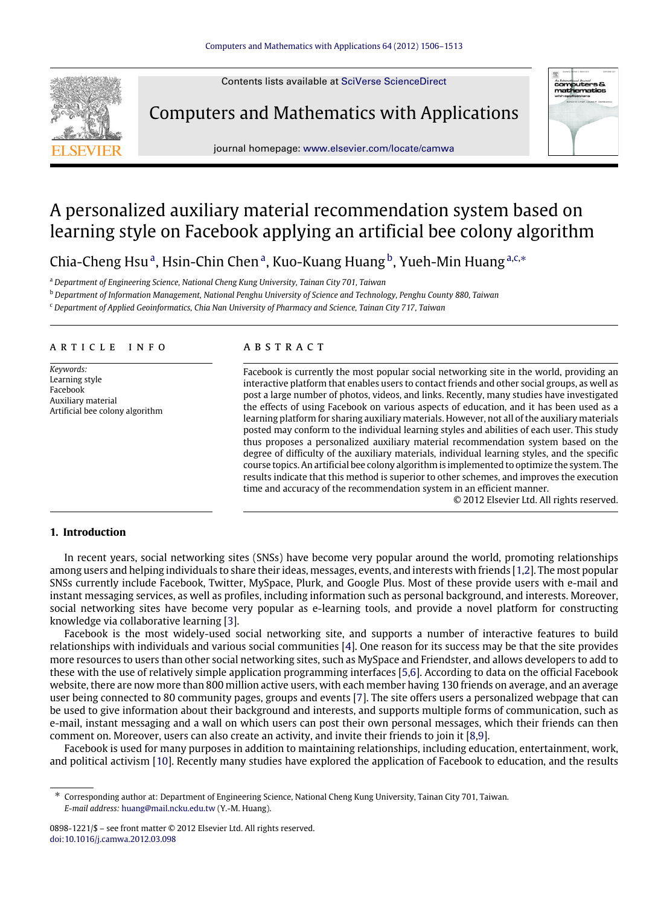Contents lists available at [SciVerse ScienceDirect](http://www.elsevier.com/locate/camwa)

Computers and Mathematics with Applications



journal homepage: [www.elsevier.com/locate/camwa](http://www.elsevier.com/locate/camwa)

## A personalized auxiliary material recommendation system based on learning style on Facebook applying an artificial bee colony algorithm

Chi[a](#page-0-0)-Cheng Hsu<sup>a</sup>, Hsin-Chin Chen<sup>a</sup>, Kuo-Kuang Huang<sup>[b](#page-0-1)</sup>, Yueh-Min Huang<sup>a[,c,](#page-0-2)\*</sup>

<span id="page-0-0"></span><sup>a</sup> *Department of Engineering Science, National Cheng Kung University, Tainan City 701, Taiwan*

<span id="page-0-1"></span><sup>b</sup> *Department of Information Management, National Penghu University of Science and Technology, Penghu County 880, Taiwan*

<span id="page-0-2"></span><sup>c</sup> *Department of Applied Geoinformatics, Chia Nan University of Pharmacy and Science, Tainan City 717, Taiwan*

#### ARTICLE INFO

*Keywords:* Learning style Facebook Auxiliary material Artificial bee colony algorithm

### a b s t r a c t

Facebook is currently the most popular social networking site in the world, providing an interactive platform that enables users to contact friends and other social groups, as well as post a large number of photos, videos, and links. Recently, many studies have investigated the effects of using Facebook on various aspects of education, and it has been used as a learning platform for sharing auxiliary materials. However, not all of the auxiliary materials posted may conform to the individual learning styles and abilities of each user. This study thus proposes a personalized auxiliary material recommendation system based on the degree of difficulty of the auxiliary materials, individual learning styles, and the specific course topics. An artificial bee colony algorithm is implemented to optimize the system. The results indicate that this method is superior to other schemes, and improves the execution time and accuracy of the recommendation system in an efficient manner.

© 2012 Elsevier Ltd. All rights reserved.

#### **1. Introduction**

In recent years, social networking sites (SNSs) have become very popular around the world, promoting relationships among users and helping individuals to share their ideas, messages, events, and interests with friends [\[1](#page--1-0)[,2\]](#page--1-1). The most popular SNSs currently include Facebook, Twitter, MySpace, Plurk, and Google Plus. Most of these provide users with e-mail and instant messaging services, as well as profiles, including information such as personal background, and interests. Moreover, social networking sites have become very popular as e-learning tools, and provide a novel platform for constructing knowledge via collaborative learning [\[3\]](#page--1-2).

Facebook is the most widely-used social networking site, and supports a number of interactive features to build relationships with individuals and various social communities [\[4\]](#page--1-3). One reason for its success may be that the site provides more resources to users than other social networking sites, such as MySpace and Friendster, and allows developers to add to these with the use of relatively simple application programming interfaces [\[5,](#page--1-4)[6\]](#page--1-5). According to data on the official Facebook website, there are now more than 800 million active users, with each member having 130 friends on average, and an average user being connected to 80 community pages, groups and events [\[7\]](#page--1-6). The site offers users a personalized webpage that can be used to give information about their background and interests, and supports multiple forms of communication, such as e-mail, instant messaging and a wall on which users can post their own personal messages, which their friends can then comment on. Moreover, users can also create an activity, and invite their friends to join it [\[8](#page--1-7)[,9\]](#page--1-8).

Facebook is used for many purposes in addition to maintaining relationships, including education, entertainment, work, and political activism [\[10\]](#page--1-9). Recently many studies have explored the application of Facebook to education, and the results

<span id="page-0-3"></span><sup>∗</sup> Corresponding author at: Department of Engineering Science, National Cheng Kung University, Tainan City 701, Taiwan. *E-mail address:* [huang@mail.ncku.edu.tw](mailto:huang@mail.ncku.edu.tw) (Y.-M. Huang).

<sup>0898-1221/\$ –</sup> see front matter © 2012 Elsevier Ltd. All rights reserved. [doi:10.1016/j.camwa.2012.03.098](http://dx.doi.org/10.1016/j.camwa.2012.03.098)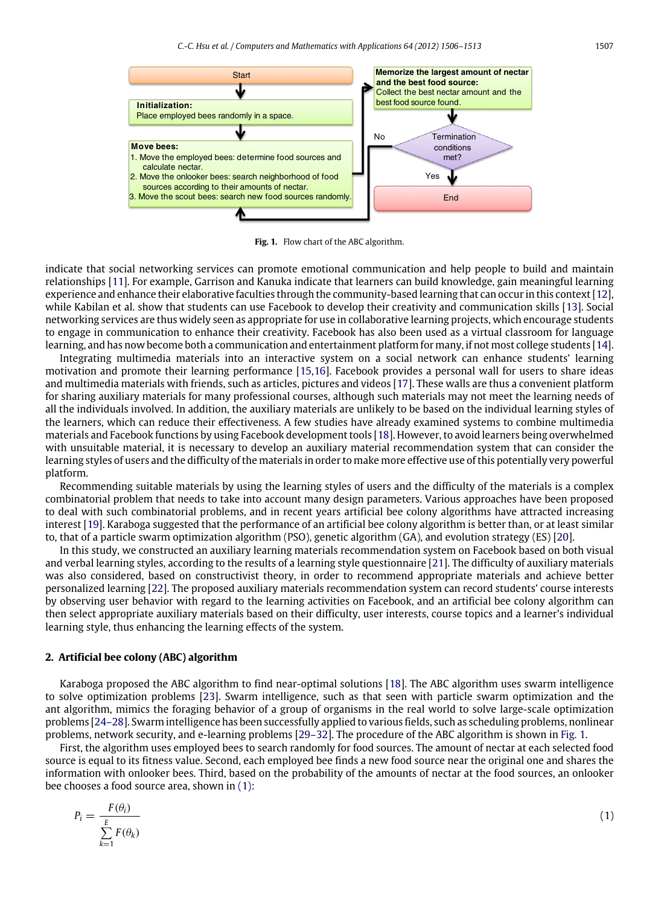<span id="page-1-0"></span>

**Fig. 1.** Flow chart of the ABC algorithm.

indicate that social networking services can promote emotional communication and help people to build and maintain relationships [\[11\]](#page--1-10). For example, Garrison and Kanuka indicate that learners can build knowledge, gain meaningful learning experience and enhance their elaborative faculties through the community-based learning that can occur in this context [\[12\]](#page--1-11), while Kabilan et al. show that students can use Facebook to develop their creativity and communication skills [\[13\]](#page--1-12). Social networking services are thus widely seen as appropriate for use in collaborative learning projects, which encourage students to engage in communication to enhance their creativity. Facebook has also been used as a virtual classroom for language learning, and has now become both a communication and entertainment platform for many, if not most college students [\[14\]](#page--1-13).

Integrating multimedia materials into an interactive system on a social network can enhance students' learning motivation and promote their learning performance [\[15,](#page--1-14)[16\]](#page--1-15). Facebook provides a personal wall for users to share ideas and multimedia materials with friends, such as articles, pictures and videos [\[17\]](#page--1-16). These walls are thus a convenient platform for sharing auxiliary materials for many professional courses, although such materials may not meet the learning needs of all the individuals involved. In addition, the auxiliary materials are unlikely to be based on the individual learning styles of the learners, which can reduce their effectiveness. A few studies have already examined systems to combine multimedia materials and Facebook functions by using Facebook development tools [\[18\]](#page--1-17). However, to avoid learners being overwhelmed with unsuitable material, it is necessary to develop an auxiliary material recommendation system that can consider the learning styles of users and the difficulty of the materials in order to make more effective use of this potentially very powerful platform.

Recommending suitable materials by using the learning styles of users and the difficulty of the materials is a complex combinatorial problem that needs to take into account many design parameters. Various approaches have been proposed to deal with such combinatorial problems, and in recent years artificial bee colony algorithms have attracted increasing interest [\[19\]](#page--1-18). Karaboga suggested that the performance of an artificial bee colony algorithm is better than, or at least similar to, that of a particle swarm optimization algorithm (PSO), genetic algorithm (GA), and evolution strategy (ES) [\[20\]](#page--1-19).

In this study, we constructed an auxiliary learning materials recommendation system on Facebook based on both visual and verbal learning styles, according to the results of a learning style questionnaire [\[21\]](#page--1-20). The difficulty of auxiliary materials was also considered, based on constructivist theory, in order to recommend appropriate materials and achieve better personalized learning [\[22\]](#page--1-21). The proposed auxiliary materials recommendation system can record students' course interests by observing user behavior with regard to the learning activities on Facebook, and an artificial bee colony algorithm can then select appropriate auxiliary materials based on their difficulty, user interests, course topics and a learner's individual learning style, thus enhancing the learning effects of the system.

#### **2. Artificial bee colony (ABC) algorithm**

Karaboga proposed the ABC algorithm to find near-optimal solutions [\[18\]](#page--1-17). The ABC algorithm uses swarm intelligence to solve optimization problems [\[23\]](#page--1-22). Swarm intelligence, such as that seen with particle swarm optimization and the ant algorithm, mimics the foraging behavior of a group of organisms in the real world to solve large-scale optimization problems [\[24–28\]](#page--1-23). Swarm intelligence has been successfully applied to various fields, such as scheduling problems, nonlinear problems, network security, and e-learning problems [\[29–32\]](#page--1-24). The procedure of the ABC algorithm is shown in [Fig. 1.](#page-1-0)

First, the algorithm uses employed bees to search randomly for food sources. The amount of nectar at each selected food source is equal to its fitness value. Second, each employed bee finds a new food source near the original one and shares the information with onlooker bees. Third, based on the probability of the amounts of nectar at the food sources, an onlooker bee chooses a food source area, shown in [\(1\):](#page-1-1)

<span id="page-1-1"></span>
$$
P_i = \frac{F(\theta_i)}{\sum_{k=1}^{E} F(\theta_k)}\tag{1}
$$